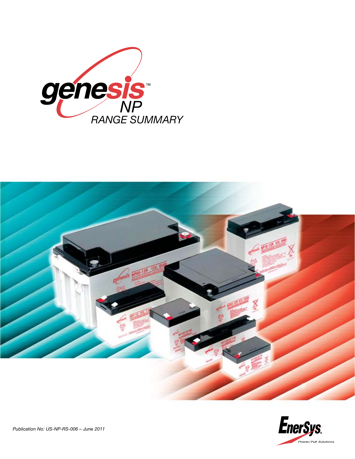



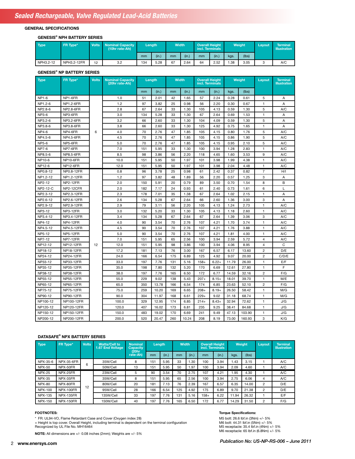## **GENERAL SPECIFICATIONS**

#### **GENESIS® NPH BATTERY SERIES**

| Type      | FR Type*    | <b>Volts</b> | <b>Nominal Capacity</b><br>(10hr rate-Ah) | Length |       | <b>Width</b> |       | <b>Overall Height</b><br>incl. Terminals |       | Weight |       | Lavout | <b>Terminal</b><br><b>Illustration</b> |
|-----------|-------------|--------------|-------------------------------------------|--------|-------|--------------|-------|------------------------------------------|-------|--------|-------|--------|----------------------------------------|
|           |             |              |                                           | mm     | (in.) | mm           | (in.) | mm                                       | (in.) | kgs.   | (lbs) |        |                                        |
| NPH3.2-12 | NPH3.2-12FR | 12           | 3.2                                       | 134    | 5.28  | 67           | 2.64  | 64                                       | 2.52  | 1.38   | 3.05  | o      | A/C                                    |

### **GENESIS® NP BATTERY SERIES**

| <b>Type</b>  | FR Type*         | <b>Volts</b> | <b>Nominal Capacity</b><br>(20hr rate-Ah) | Length |       | <b>Width</b> |       | <b>Overall Height</b><br>incl. Terminals |         | Weight |        | Layout         | <b>Terminal</b><br>Illustration |
|--------------|------------------|--------------|-------------------------------------------|--------|-------|--------------|-------|------------------------------------------|---------|--------|--------|----------------|---------------------------------|
|              |                  |              |                                           | mm     | (in.) | mm           | (in.) | mm                                       | (in.)   | kgs.   | (lbs)  |                |                                 |
| <b>NP1-6</b> | NP1-6FR          |              | 1.0                                       | 51     | 2.01  | 42           | 1.65  | 57                                       | 2.24    | 0.28   | 0.61   | 5              | Α                               |
| NP1.2-6      | NP1.2-6FR        |              | 1.2                                       | 97     | 3.82  | 25           | 0.98  | 56                                       | 2.20    | 0.30   | 0.67   | 1              | A                               |
| NP2.8-6      | NP2.8-6FR        |              | 2.8                                       | 67     | 2.64  | 33           | 1.30  | 105                                      | 4.13    | 0.59   | 1.30   | 5              | A/C                             |
| <b>NP3-6</b> | NP3-6FR          |              | 3.0                                       | 134    | 5.28  | 33           | 1.30  | 67                                       | 2.64    | 0.69   | 1.53   | 1              | A                               |
| NP3.2-6      | NP3.2-6FR        |              | 3.2                                       | 66     | 2.60  | 33           | 1.30  | 104                                      | 4.09    | 0.59   | 1.30   | 5              | A                               |
| NP3.8-6      | NP3.8-6FR        |              | 3.8                                       | 66     | 2.60  | 33           | 1.30  | 125                                      | 4.92    | 0.75   | 1.65   | 1              | A                               |
| <b>NP4-6</b> | NP4-6FR          | 6            | 4.0                                       | 70     | 2.76  | 47           | 1.85  | 105                                      | 4.15    | 0.80   | 1.76   | 5              | A/C                             |
| NP4.5-6      | NP4.5-6FR        |              | 4.5                                       | 70     | 2.76  | 47           | 1.85  | 105                                      | 4.15    | 0.86   | 1.90   | 5              | A/C                             |
| NP5-6        | NP5-6FR          |              | 5.0                                       | 70     | 2.76  | 47           | 1.85  | 105                                      | 4.15    | 0.95   | 2.10   | 5              | A/C                             |
| <b>NP7-6</b> | NP7-6FR          |              | 7.0                                       | 151    | 5.95  | 33           | 1.30  | 100                                      | 3.94    | 1.28   | 2.83   | 1              | A/C                             |
| NP8.5-6      | <b>NP8.5-6FR</b> |              | 8.5                                       | 98     | 3.86  | 56           | 2.20  | 118                                      | 4.65    | 1.60   | 3.53   | 9              | A/C                             |
| NP10-6       | NP10-6FR         |              | 10.0                                      | 151    | 5.95  | 50           | 1.97  | 101                                      | 3.98    | 1.99   | 4.38   | 1              | A/C                             |
| NP12-6       | NP12-6FR         |              | 12.0                                      | 151    | 5.95  | 50           | 1.97  | 101                                      | 3.98    | 2.04   | 4.48   | $\mathbf{1}$   | A/C                             |
| NP0.8-12     | NP0.8-12FR       |              | 0.8                                       | 96     | 3.78  | 25           | 0.98  | 61                                       | 2.42    | 0.37   | 0.82   | 7              | H/I                             |
| NP1.2-12     | NP1.2-12FR       |              | 1.2                                       | 97     | 3.82  | 48           | 1.89  | 56                                       | 2.20    | 0.57   | 1.25   | 3              | Α                               |
| NP2-12       | <b>NP2-12FR</b>  |              | 2.0                                       | 150    | 5.91  | 20           | 0.79  | 89                                       | 3.50    | 0.70   | 1.54   | 8              | B                               |
| NP2-12-C     | NP2-12CFR        |              | 2.0                                       | 182    | 7.17  | 24           | 0.93  | 61                                       | 2.40    | 0.73   | 1.61   | 6              | L                               |
| NP2.3-12     | NP2.3-12FR       |              | 2.3                                       | 178    | 7.01  | 35           | 1.38  | 67                                       | 2.64    | 1.02   | 2.15   | 1              | A                               |
| NP2.6-12     | NP2.6-12FR       |              | 2.6                                       | 134    | 5.28  | 67           | 2.64  | 66                                       | 2.60    | 1.36   | 3.00   | 3              | Α                               |
| NP2.9-12     | NP2.9-12FR       |              | 2.9                                       | 79     | 3.11  | 56           | 2.20  | 105                                      | 4.13    | 1.24   | 2.73   | 1              | A/C                             |
| NP3-12       | <b>NP3-12FR</b>  |              | 3.0                                       | 132    | 5.20  | 33           | 1.30  | 105                                      | 4.13    | 1.18   | 2.60   | 1              | A/C                             |
| NP3.4-12     | NP3.4-12FR       |              | 3.4                                       | 134    | 5.28  | 67           | 2.64  | 67                                       | 2.64    | 1.39   | 3.06   | 3              | A/C                             |
| NP4-12       | <b>NP4-12FR</b>  |              | 4.0                                       | 90     | 3.54  | 70           | 2.76  | 107                                      | 4.21    | 1.70   | 3.74   | 1              | A/C                             |
| NP4.5-12     | NP4.5-12FR       |              | 4.5                                       | 90     | 3.54  | 70           | 2.76  | 107                                      | 4.21    | 1.76   | 3.88   | 1              | A/C                             |
| NP5-12       | <b>NP5-12FR</b>  |              | 5.0                                       | 90     | 3.54  | 70           | 2.76  | 107                                      | 4.21    | 1.81   | 4.00   | 1              | A/C                             |
| NP7-12       | <b>NP7-12FR</b>  |              | 7.0                                       | 151    | 5.95  | 65           | 2.56  | 100                                      | 3.94    | 2.59   | 5.72   | 4              | A/C                             |
| NP12-12      | <b>NP12-12FR</b> | 12           | 12.0                                      | 151    | 5.95  | 98           | 3.86  | 100                                      | 3.94    | 4.06   | 8.95   | 4              | C                               |
| NP18-12      | NP18-12FR        |              | 17.2                                      | 181    | 7.13  | 76           | 3.00  | 167                                      | 6.57    | 6.17   | 13.60  | $\overline{2}$ | D/E                             |
| NP24-12      | NP24-12FR        |              | 24.0                                      | 166    | 6.54  | 175          | 6.89  | 125                                      | 4.92    | 9.07   | 20.00  | $\overline{c}$ | C/D/E                           |
| NP33-12      | NP33-12FR        |              | 33.0                                      | 197    | 7.76  | 131          | 5.16  | $158+$                                   | $6.22+$ | 11.79  | 26.00  | $\mathbf{1}$   | E/F                             |
| NP35-12      | NP35-12FR        |              | 35.0                                      | 198    | 7.80  | 132          | 5.20  | 170                                      | 6.69    | 12.61  | 27.80  | 1              | F                               |
| NP38-12      | NP38-12FR        |              | 38.0                                      | 197    | 7.76  | 165          | 6.50  | 172                                      | 6.77    | 14.59  | 32.16  | $\overline{2}$ | F/G                             |
| NP55-12      | <b>NP55-12FR</b> |              | 55.0                                      | 229    | 9.02  | 138          | 5.43  | $207+$                                   | $8.15+$ | 18.01  | 39.70  | 1              | M/E                             |
| NP65-12      | NP65-12FR        |              | 65.0                                      | 350    | 13.78 | 166          | 6.54  | 174                                      | 6.85    | 23.63  | 52.10  | $\overline{2}$ | F/G                             |
| NP75-12      | <b>NP75-12FR</b> |              | 75.0                                      | 259    | 10.20 | 169          | 6.65  | $208+$                                   | $8.19+$ | 26.50  | 58.42  | 1              | M/G                             |
| NP90-12      | NP90-12FR        |              | 90.0                                      | 304    | 11.97 | 168          | 6.61  | $229+$                                   | 9.02    | 31.18  | 68.74  | 1              | M/G                             |
| NP100-12     | NP100-12FR       |              | 100.0                                     | 329    | 12.95 | 174          | 6.85  | $214+$                                   | $8.43+$ | 32.94  | 72.62  | 1              | J/G                             |
| NP120-12     | NP120-12FR       |              | 120.0                                     | 407    | 16.02 | 173          | 6.81  | 235                                      | 9.25    | 38.41  | 84.68  | 1              | J/G                             |
| NP150-12     | NP150-12FR       |              | 150.0                                     | 483    | 19.02 | 170          | 6.69  | 241                                      | 9.49    | 47.13  | 103.90 | 1              | J/G                             |
| NP200-12     | NP200-12FR       |              | 200.0                                     | 520    | 20.47 | 260          | 10.24 | 208                                      | 8.19    | 73.00  | 160.93 | 3              | K/G                             |

#### **DATASAFE® NPX BATTERY SERIES**

| Type           | FR Type*          | <b>Volts</b> | <b>Watts/Cell to</b><br>1.67 End Voltage | Nominal<br><b>Capacity</b><br>(20hr | Lenath |       | <b>Width</b> |       | <b>Overall Height</b><br>incl. Terminals |       | <b>Weight</b> |       | Lavout         | Terminal<br><b>Illustration</b> |
|----------------|-------------------|--------------|------------------------------------------|-------------------------------------|--------|-------|--------------|-------|------------------------------------------|-------|---------------|-------|----------------|---------------------------------|
|                |                   |              |                                          | rate-Ah)                            | mm     | (in.) | mm           | (in.) | mm                                       | (in.) | kgs.          | (lbs) |                |                                 |
| NPX-35-6       | <b>NPX-35-6FR</b> | 6            | 35W/Cell                                 | 8                                   | 151    | 5.95  | 33           | .30   | 100                                      | 3.94  | 1.43          | 3.15  |                | A/C                             |
| NPX-50         | NPX-50FR          |              | 50W/Cell                                 | 13                                  | 151    | 5.95  | 50           | .97   | 100                                      | 3.94  | 2.09          | 4.60  |                | A/C                             |
| <b>NPX-25</b>  | NPX-25FR          |              | 23W/Cell                                 | 5                                   | 90     | 3.54  | 70           | 2.75  | 107                                      | 4.21  | .95           | 4.30  |                | A/C                             |
| <b>NPX-35</b>  | NPX-35FR          |              | 35W/Cell                                 | 8                                   | 151    | 5.95  | 65           | 2.56  | 100                                      | 3.94  | 2.75          | 6.06  | 4              | A/C                             |
| <b>NPX-80</b>  | NPX-80FR          | 12           | 80W/Cell                                 | 20                                  | 181    | 7.13  | 76           | 2.39  | 167                                      | 6.57  | 6.35          | 14.00 | 2              | D/E                             |
| <b>NPX-100</b> | <b>NPX-100FR</b>  |              | 95W/Cell                                 | 28                                  | 166    | 6.54  | 125          | 4.92  | 175                                      | 6.89  | 9.70          | 21.38 | 2              | D/E                             |
| <b>NPX-135</b> | <b>NPX-135FR</b>  |              | 135W/Cell                                | 33                                  | 197    | 7.76  | 131          | 5.16  | $158+$                                   | 6.22  | 11.94         | 26.32 |                | E/F                             |
| <b>NPX-150</b> | <b>NPX-150FR</b>  |              | 150W/Cell                                | 40                                  | 197    | 7.76  | 165          | 6.50  | 172                                      | 6.77  | 14.29         | 31.50 | $\overline{2}$ | F/G                             |

### **FOOTNOTES:**

\* FR: UL94-VO, Flame Retardant Case and Cover (Oxygen index 28)<br>+ Height is top cover. Overall Height, including terminal is dependent on the terminal configuration<br>Recognized by UL File No. MH16464

**NOTE:** All dimensions are +/- 0.08 inches (2mm); Weights are +/- 5%

## **Torque Specifications:**

M5 bolt: 26.6 lbf.in (3Nm) +/- 5% M6 bolt: 44.31 lbf.in (5Nm) +/- 5% M5 receptacle: 35.4 lbf.in (4Nm) +/- 5% M6 receptacle: 65 lbf.in (6.8Nm) +/- 5%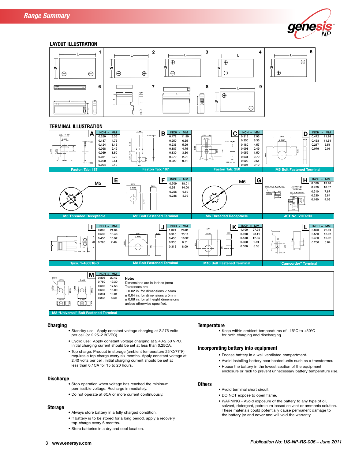



## **TERMINAL ILLUSTRATION**



0.630 16.00  $±$  0.02 in. for dimensions  $<$  5mm  $0.394$  10.01<br>0.335 8.50  $± 0.04$  in. for dimensions  $≥ 5$ mm 0.335 ± 0.08 in. for all height dimensions 【開】 ြင်္ဂ unless otherwise specified. **M8 "Universal" Bolt Fastened Terminal**

#### **Charging**

- **•** Standby use: Apply constant voltage charging at 2.275 volts per cell (or 2.25–2.30VPC).
- Cyclic use: Apply constant voltage charging at 2.40-2.50 VPC. Initial charging current should be set at less than 0.25CA.
- **•** Top charge: Product in storage (ambient temperature 25°C/77°F) requires a top charge every six months. Apply constant voltage at 2.40 volts per cell, initial charging current should be set at less than 0.1CA for 15 to 20 hours.

## **Discharge**

- **•** Stop operation when voltage has reached the minimum permissible voltage. Recharge immediately.
- **•** Do not operate at 6CA or more current continuously.

### **Storage**

- **•** Always store battery in a fully charged condition.
- **•** If battery is to be stored for a long period, apply a recovery top-charge every 6 months.
- **•** Store batteries in a dry and cool location.

#### **Temperature**

**•** Keep within ambient temperatures of –15°C to +50°C for both charging and discharging.

### **Incorporating battery into equipment**

- **•** Encase battery in a well ventilated compartment.
- **•** Avoid installing battery near heated units such as a transformer.
- **•** House the battery in the lowest section of the equipment enclosure or rack to prevent unnecessary battery temperature rise.

# **Others**

- **•** Avoid terminal short circuit. **•** DO NOT expose to open flame.
- **•** WARNING Avoid exposure of the battery to any type of oil, solvent, detergent, petroleum-based solvent or ammonia solution. These materials could potentially cause permanent damage to the battery jar and cover and will void the warranty.